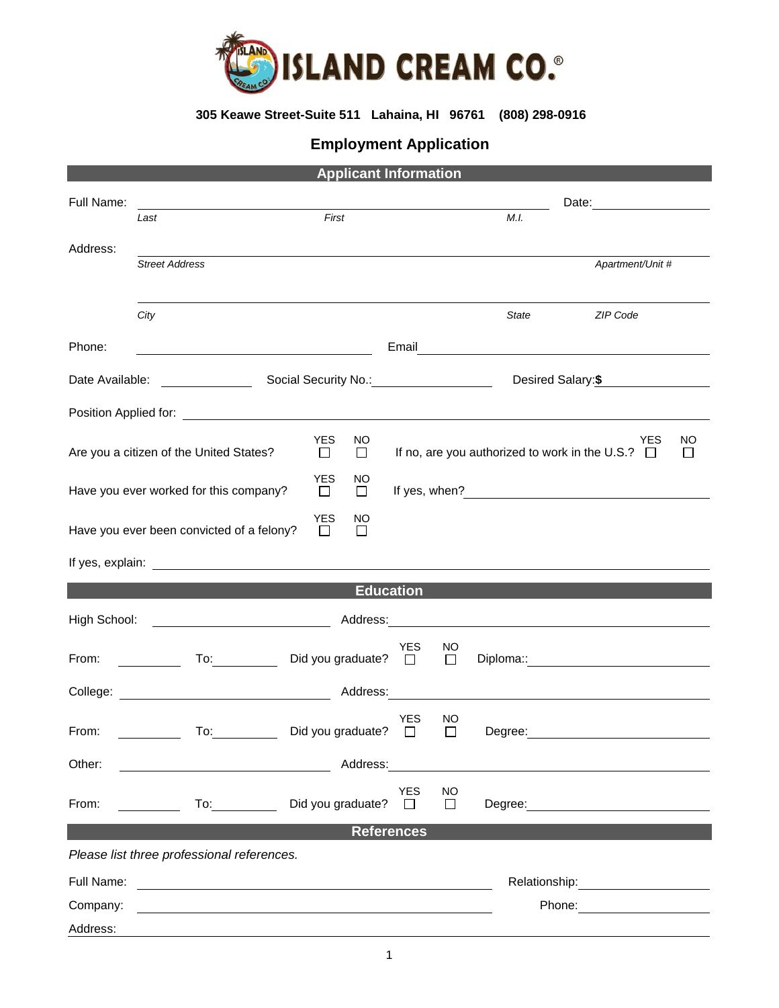

## **305 Keawe Street-Suite 511 Lahaina, HI 96761 (808) 298-0916**

## **Employment Application**

| <b>Applicant Information</b>                                                                                                                                                                                                         |                                                                                                                                                                                                                                     |  |                      |                          |                       |              |                                                                                                                                                                                                                                        |                                                                                                                                                                                                                                |               |
|--------------------------------------------------------------------------------------------------------------------------------------------------------------------------------------------------------------------------------------|-------------------------------------------------------------------------------------------------------------------------------------------------------------------------------------------------------------------------------------|--|----------------------|--------------------------|-----------------------|--------------|----------------------------------------------------------------------------------------------------------------------------------------------------------------------------------------------------------------------------------------|--------------------------------------------------------------------------------------------------------------------------------------------------------------------------------------------------------------------------------|---------------|
| Full Name:                                                                                                                                                                                                                           | Last                                                                                                                                                                                                                                |  | First                |                          |                       |              | M.I.                                                                                                                                                                                                                                   |                                                                                                                                                                                                                                |               |
| Address:                                                                                                                                                                                                                             |                                                                                                                                                                                                                                     |  |                      |                          |                       |              |                                                                                                                                                                                                                                        |                                                                                                                                                                                                                                |               |
|                                                                                                                                                                                                                                      | <b>Street Address</b>                                                                                                                                                                                                               |  |                      |                          |                       |              |                                                                                                                                                                                                                                        | Apartment/Unit #                                                                                                                                                                                                               |               |
|                                                                                                                                                                                                                                      | City                                                                                                                                                                                                                                |  |                      |                          |                       |              | <b>State</b>                                                                                                                                                                                                                           | ZIP Code                                                                                                                                                                                                                       |               |
| Phone:                                                                                                                                                                                                                               |                                                                                                                                                                                                                                     |  |                      |                          |                       |              |                                                                                                                                                                                                                                        | Email Property of the Commission of the Commission of the Commission of the Commission of the Commission of the Commission of the Commission of the Commission of the Commission of the Commission of the Commission of the Co |               |
|                                                                                                                                                                                                                                      |                                                                                                                                                                                                                                     |  |                      |                          |                       |              |                                                                                                                                                                                                                                        | Desired Salary: \$                                                                                                                                                                                                             |               |
| Position Applied for: <u>contract the contract of the contract of the contract of the contract of the contract of the contract of the contract of the contract of the contract of the contract of the contract of the contract o</u> |                                                                                                                                                                                                                                     |  |                      |                          |                       |              |                                                                                                                                                                                                                                        |                                                                                                                                                                                                                                |               |
| Are you a citizen of the United States?                                                                                                                                                                                              |                                                                                                                                                                                                                                     |  | <b>YES</b><br>$\Box$ | NO.<br>$\Box$            |                       |              | If no, are you authorized to work in the U.S.? $\Box$                                                                                                                                                                                  | <b>YES</b>                                                                                                                                                                                                                     | NO<br>$\perp$ |
| <b>YES</b><br>Have you ever worked for this company?<br>$\Box$                                                                                                                                                                       |                                                                                                                                                                                                                                     |  | NO.<br>$\Box$        |                          |                       |              | If yes, when?<br><u>Letter and the set of the set of the set of the set of the set of the set of the set of the set of the set of the set of the set of the set of the set of the set of the set of the set of the set of the set </u> |                                                                                                                                                                                                                                |               |
|                                                                                                                                                                                                                                      | Have you ever been convicted of a felony?                                                                                                                                                                                           |  | <b>YES</b><br>$\Box$ | NO<br>□                  |                       |              |                                                                                                                                                                                                                                        |                                                                                                                                                                                                                                |               |
|                                                                                                                                                                                                                                      |                                                                                                                                                                                                                                     |  |                      |                          |                       |              |                                                                                                                                                                                                                                        |                                                                                                                                                                                                                                |               |
|                                                                                                                                                                                                                                      |                                                                                                                                                                                                                                     |  |                      |                          | <b>Education</b>      |              |                                                                                                                                                                                                                                        |                                                                                                                                                                                                                                |               |
| High School:                                                                                                                                                                                                                         |                                                                                                                                                                                                                                     |  |                      |                          |                       |              |                                                                                                                                                                                                                                        |                                                                                                                                                                                                                                |               |
| From: $\qquad \qquad \qquad$                                                                                                                                                                                                         | To: and the state of the state of the state of the state of the state of the state of the state of the state o                                                                                                                      |  |                      | Did you graduate? $\Box$ | <b>YES</b>            | NO<br>$\Box$ |                                                                                                                                                                                                                                        |                                                                                                                                                                                                                                |               |
|                                                                                                                                                                                                                                      | College: <u>New York: Address:</u> Address: Address: Address: Address: Address: Address: Address: Address: Address: Address: Address: Address: Address: Address: Address: Address: Address: Address: Address: Address: Address: Add |  |                      |                          |                       |              |                                                                                                                                                                                                                                        |                                                                                                                                                                                                                                |               |
| From: The contract of the contract of the contract of the contract of the contract of the contract of the contract of the contract of the contract of the contract of the contract of the contract of the contract of the cont       | To: Did you graduate? □                                                                                                                                                                                                             |  |                      |                          | <b>YES</b>            | NO<br>$\Box$ | Degree:                                                                                                                                                                                                                                |                                                                                                                                                                                                                                |               |
| Other:                                                                                                                                                                                                                               | <u> 2000 - Andrea Andrew Maria (h. 18</u>                                                                                                                                                                                           |  |                      | Address:                 |                       |              |                                                                                                                                                                                                                                        | <u> 1980 - Johann Stein, marwolaethau a bhann an t-Amhain an t-Amhain an t-Amhain an t-Amhain an t-Amhain an t-A</u>                                                                                                           |               |
| From:                                                                                                                                                                                                                                | $\mathsf{To:}\_\_\_\_\_\_\_\_\$                                                                                                                                                                                                     |  |                      | Did you graduate?        | <b>YES</b><br>$\perp$ | NO<br>$\Box$ |                                                                                                                                                                                                                                        |                                                                                                                                                                                                                                |               |
| <b>References</b>                                                                                                                                                                                                                    |                                                                                                                                                                                                                                     |  |                      |                          |                       |              |                                                                                                                                                                                                                                        |                                                                                                                                                                                                                                |               |
| Please list three professional references.                                                                                                                                                                                           |                                                                                                                                                                                                                                     |  |                      |                          |                       |              |                                                                                                                                                                                                                                        |                                                                                                                                                                                                                                |               |
| Full Name:<br><u> 1980 - Andrea Barbara, poeta esperanto-poeta esperanto-poeta esperanto-poeta esperanto-poeta esperanto-poeta</u>                                                                                                   |                                                                                                                                                                                                                                     |  |                      |                          |                       |              |                                                                                                                                                                                                                                        |                                                                                                                                                                                                                                |               |
| Company:                                                                                                                                                                                                                             |                                                                                                                                                                                                                                     |  |                      |                          |                       |              |                                                                                                                                                                                                                                        |                                                                                                                                                                                                                                |               |
| Address:                                                                                                                                                                                                                             |                                                                                                                                                                                                                                     |  |                      |                          |                       |              |                                                                                                                                                                                                                                        |                                                                                                                                                                                                                                |               |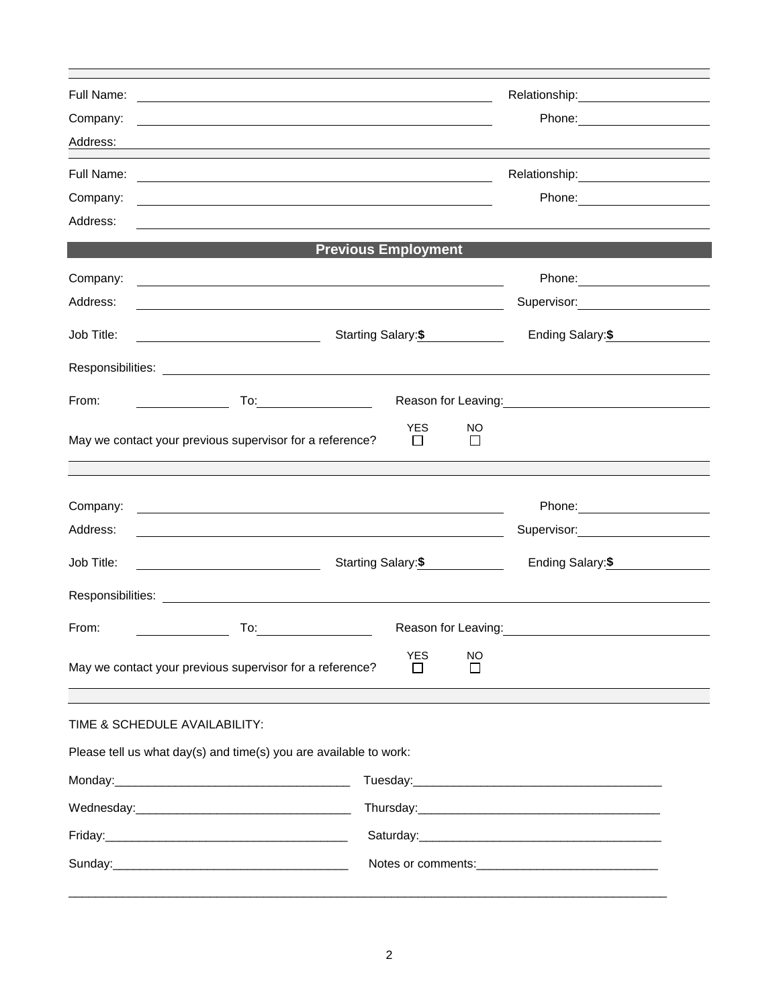| Full Name:<br>Company:<br>Address:                                           | <u> 1989 - Johann Stoff, amerikansk politiker (d. 1989)</u>                                                                                                                                                                          | Relationship:<br><u> </u>                         |  |  |  |  |
|------------------------------------------------------------------------------|--------------------------------------------------------------------------------------------------------------------------------------------------------------------------------------------------------------------------------------|---------------------------------------------------|--|--|--|--|
| Full Name:<br>Company:<br>Address:                                           | <u> 1989 - Johann Stoff, deutscher Stoffen und der Stoffen und der Stoffen und der Stoffen und der Stoffen und der</u>                                                                                                               | Relationship: 2000                                |  |  |  |  |
|                                                                              | <b>Previous Employment</b>                                                                                                                                                                                                           |                                                   |  |  |  |  |
| Company:<br>Address:                                                         | <u> 1989 - Johann Stoff, deutscher Stoff, der Stoff, der Stoff, der Stoff, der Stoff, der Stoff, der Stoff, der S</u>                                                                                                                |                                                   |  |  |  |  |
| Job Title:                                                                   | Starting Salary:\$                                                                                                                                                                                                                   | Ending Salary: \$                                 |  |  |  |  |
|                                                                              |                                                                                                                                                                                                                                      |                                                   |  |  |  |  |
| From:                                                                        | $To: \begin{tabular}{ c c c } \hline \quad \quad & \quad \quad & \quad \quad \\ \hline \end{tabular}$                                                                                                                                | Reason for Leaving:<br><u>Neason</u> for Leaving: |  |  |  |  |
|                                                                              | <b>YES</b><br>NO.<br>May we contact your previous supervisor for a reference?<br>$\perp$                                                                                                                                             |                                                   |  |  |  |  |
| Company:                                                                     | <u>and the control of the control of the control of the control of the control of the control of the control of the control of the control of the control of the control of the control of the control of the control of the con</u> |                                                   |  |  |  |  |
| Address:                                                                     |                                                                                                                                                                                                                                      | Supervisor: 2000                                  |  |  |  |  |
| Job Title:                                                                   | Starting Salary:\$<br><u> 1980 - Johann Barbara, martin a</u>                                                                                                                                                                        | Ending Salary:\$                                  |  |  |  |  |
|                                                                              |                                                                                                                                                                                                                                      |                                                   |  |  |  |  |
| From:                                                                        |                                                                                                                                                                                                                                      | Reason for Leaving: <b>Example 2018</b>           |  |  |  |  |
| <b>YES</b><br>NO<br>May we contact your previous supervisor for a reference? |                                                                                                                                                                                                                                      |                                                   |  |  |  |  |
| TIME & SCHEDULE AVAILABILITY:                                                |                                                                                                                                                                                                                                      |                                                   |  |  |  |  |
| Please tell us what day(s) and time(s) you are available to work:            |                                                                                                                                                                                                                                      |                                                   |  |  |  |  |
|                                                                              |                                                                                                                                                                                                                                      |                                                   |  |  |  |  |
|                                                                              |                                                                                                                                                                                                                                      |                                                   |  |  |  |  |
|                                                                              | Friday: 2004 - 2004 - 2014 - 2014 - 2014 - 2014 - 2014 - 2014 - 2014 - 2014 - 2014 - 2014 - 2014 - 2014 - 2014                                                                                                                       |                                                   |  |  |  |  |
|                                                                              |                                                                                                                                                                                                                                      |                                                   |  |  |  |  |